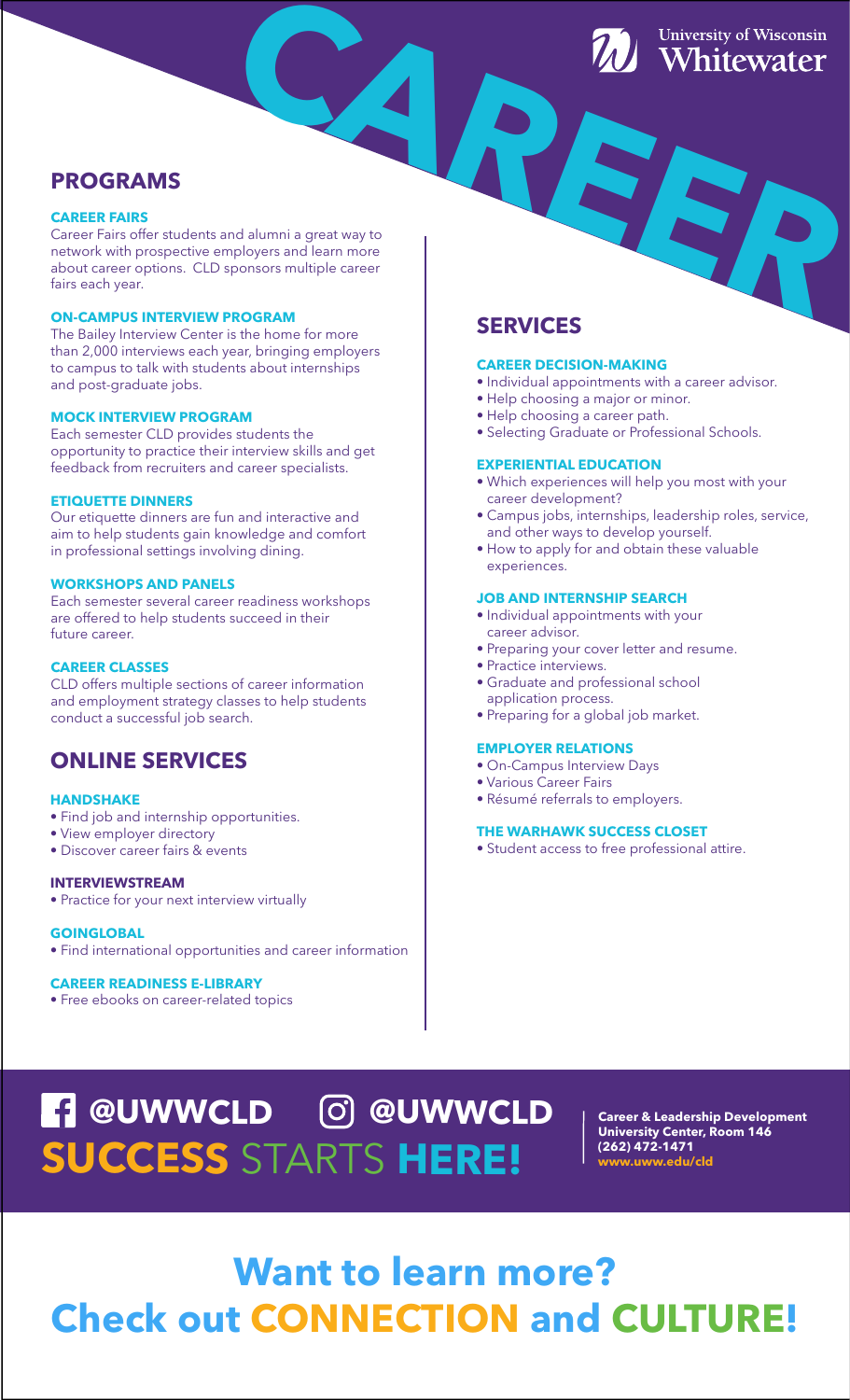## **PROGRAMS**

#### **CAREER FAIRS**

Career Fairs offer students and alumni a great way to network with prospective employers and learn more about career options. CLD sponsors multiple career fairs each year. **CAREFORD MELTING CONSTRUCTED**<br> **CAREFORD MELTING CONSTRUCTED**<br> **CAREFORD MELTING CONSTRUCTED**<br> **CAREFORD MELTING CONSTRUCTED** 

#### **ON-CAMPUS INTERVIEW PROGRAM**

The Bailey Interview Center is the home for more than 2,000 interviews each year, bringing employers to campus to talk with students about internships and post-graduate jobs.

#### **MOCK INTERVIEW PROGRAM**

Each semester CLD provides students the opportunity to practice their interview skills and get feedback from recruiters and career specialists.

### **ETIQUETTE DINNERS**

Our etiquette dinners are fun and interactive and aim to help students gain knowledge and comfort in professional settings involving dining.

#### **WORKSHOPS AND PANELS**

Each semester several career readiness workshops are offered to help students succeed in their future career.

#### **CAREER CLASSES**

CLD offers multiple sections of career information and employment strategy classes to help students conduct a successful job search.

## **ONLINE SERVICES**

#### **HANDSHAKE**

- Find job and internship opportunities.
- View employer directory
- Discover career fairs & events

#### **INTERVIEWSTREAM**

• Practice for your next interview virtually

#### **GOINGLOBAL**

• Find international opportunities and career information

#### **CAREER READINESS E-LIBRARY**

• Free ebooks on career-related topics

## **SERVICES**

#### **CAREER DECISION-MAKING**

- Individual appointments with a career advisor.
- Help choosing a major or minor.
- Help choosing a career path.
- Selecting Graduate or Professional Schools.

#### **EXPERIENTIAL EDUCATION**

- Which experiences will help you most with your career development?
- Campus jobs, internships, leadership roles, service, and other ways to develop yourself.
- How to apply for and obtain these valuable experiences.

#### **JOB AND INTERNSHIP SEARCH**

- Individual appointments with your career advisor.
- Preparing your cover letter and resume.
- Practice interviews.
- Graduate and professional school application process.
- Preparing for a global job market.

#### **EMPLOYER RELATIONS**

- On-Campus Interview Days
- Various Career Fairs
- Résumé referrals to employers.

#### **THE WARHAWK SUCCESS CLOSET**

• Student access to free professional attire.

**(262) 472-1471 SUCCESS** STARTS **HERE! www.uww.edu/cld @UWWCLD @UWWCLD**

**Career & Leadership Development University Center, Room 146**

# **Want to learn more? Check out CONNECTION and CULTURE!**